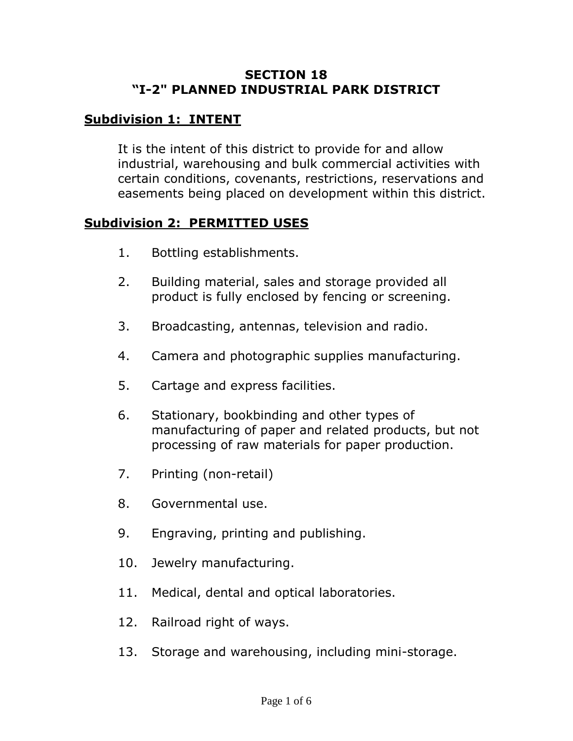#### **SECTION 18 "I-2" PLANNED INDUSTRIAL PARK DISTRICT**

## **Subdivision 1: INTENT**

It is the intent of this district to provide for and allow industrial, warehousing and bulk commercial activities with certain conditions, covenants, restrictions, reservations and easements being placed on development within this district.

#### **Subdivision 2: PERMITTED USES**

- 1. Bottling establishments.
- 2. Building material, sales and storage provided all product is fully enclosed by fencing or screening.
- 3. Broadcasting, antennas, television and radio.
- 4. Camera and photographic supplies manufacturing.
- 5. Cartage and express facilities.
- 6. Stationary, bookbinding and other types of manufacturing of paper and related products, but not processing of raw materials for paper production.
- 7. Printing (non-retail)
- 8. Governmental use.
- 9. Engraving, printing and publishing.
- 10. Jewelry manufacturing.
- 11. Medical, dental and optical laboratories.
- 12. Railroad right of ways.
- 13. Storage and warehousing, including mini-storage.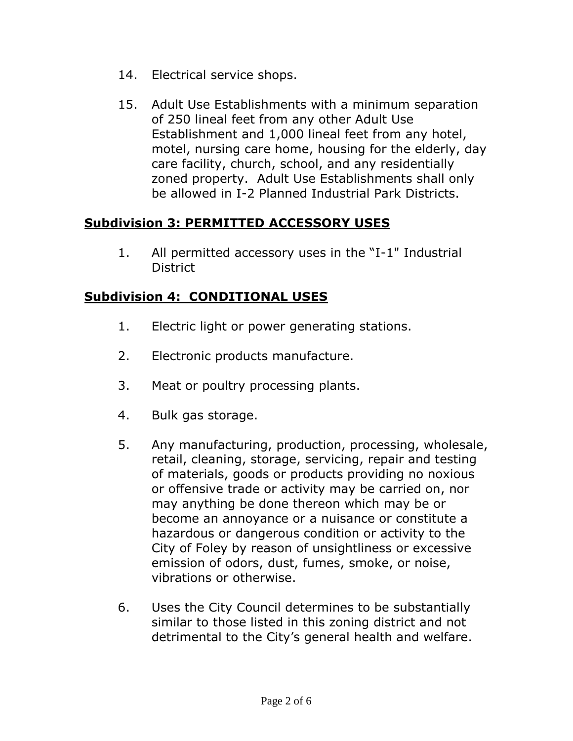- 14. Electrical service shops.
- 15. Adult Use Establishments with a minimum separation of 250 lineal feet from any other Adult Use Establishment and 1,000 lineal feet from any hotel, motel, nursing care home, housing for the elderly, day care facility, church, school, and any residentially zoned property. Adult Use Establishments shall only be allowed in I-2 Planned Industrial Park Districts.

### **Subdivision 3: PERMITTED ACCESSORY USES**

1. All permitted accessory uses in the "I-1" Industrial **District** 

### **Subdivision 4: CONDITIONAL USES**

- 1. Electric light or power generating stations.
- 2. Electronic products manufacture.
- 3. Meat or poultry processing plants.
- 4. Bulk gas storage.
- 5. Any manufacturing, production, processing, wholesale, retail, cleaning, storage, servicing, repair and testing of materials, goods or products providing no noxious or offensive trade or activity may be carried on, nor may anything be done thereon which may be or become an annoyance or a nuisance or constitute a hazardous or dangerous condition or activity to the City of Foley by reason of unsightliness or excessive emission of odors, dust, fumes, smoke, or noise, vibrations or otherwise.
- 6. Uses the City Council determines to be substantially similar to those listed in this zoning district and not detrimental to the City's general health and welfare.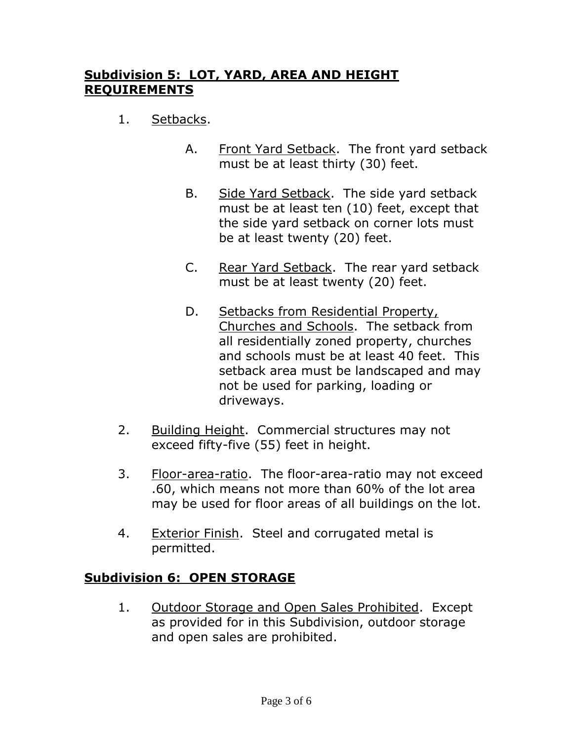# **Subdivision 5: LOT, YARD, AREA AND HEIGHT REQUIREMENTS**

- 1. Setbacks.
	- A. Front Yard Setback. The front yard setback must be at least thirty (30) feet.
	- B. Side Yard Setback. The side yard setback must be at least ten (10) feet, except that the side yard setback on corner lots must be at least twenty (20) feet.
	- C. Rear Yard Setback. The rear yard setback must be at least twenty (20) feet.
	- D. Setbacks from Residential Property, Churches and Schools. The setback from all residentially zoned property, churches and schools must be at least 40 feet. This setback area must be landscaped and may not be used for parking, loading or driveways.
- 2. Building Height. Commercial structures may not exceed fifty-five (55) feet in height.
- 3. Floor-area-ratio. The floor-area-ratio may not exceed .60, which means not more than 60% of the lot area may be used for floor areas of all buildings on the lot.
- 4. Exterior Finish. Steel and corrugated metal is permitted.

# **Subdivision 6: OPEN STORAGE**

1. Outdoor Storage and Open Sales Prohibited. Except as provided for in this Subdivision, outdoor storage and open sales are prohibited.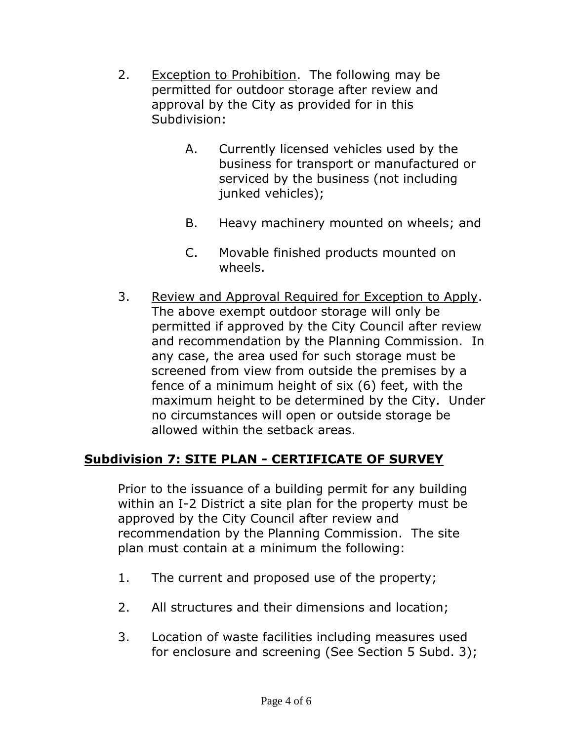- 2. Exception to Prohibition. The following may be permitted for outdoor storage after review and approval by the City as provided for in this Subdivision:
	- A. Currently licensed vehicles used by the business for transport or manufactured or serviced by the business (not including junked vehicles);
	- B. Heavy machinery mounted on wheels; and
	- C. Movable finished products mounted on wheels.
- 3. Review and Approval Required for Exception to Apply. The above exempt outdoor storage will only be permitted if approved by the City Council after review and recommendation by the Planning Commission. In any case, the area used for such storage must be screened from view from outside the premises by a fence of a minimum height of six (6) feet, with the maximum height to be determined by the City. Under no circumstances will open or outside storage be allowed within the setback areas.

# **Subdivision 7: SITE PLAN - CERTIFICATE OF SURVEY**

Prior to the issuance of a building permit for any building within an I-2 District a site plan for the property must be approved by the City Council after review and recommendation by the Planning Commission. The site plan must contain at a minimum the following:

- 1. The current and proposed use of the property;
- 2. All structures and their dimensions and location;
- 3. Location of waste facilities including measures used for enclosure and screening (See Section 5 Subd. 3);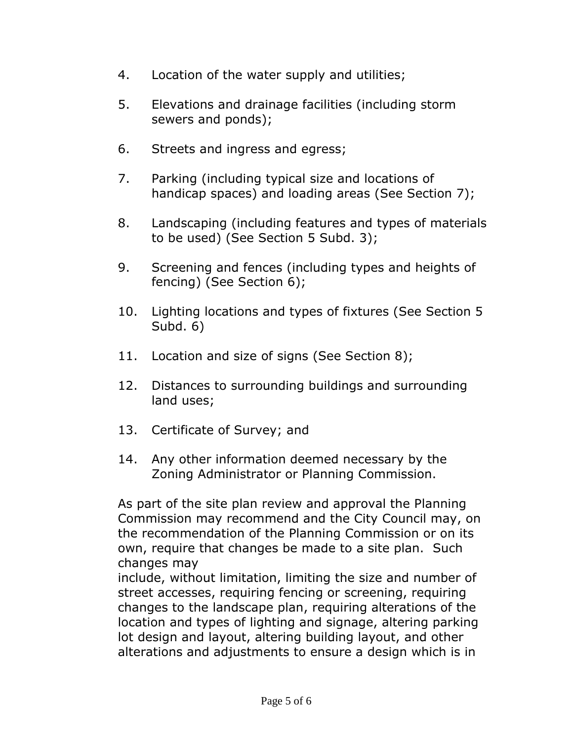- 4. Location of the water supply and utilities;
- 5. Elevations and drainage facilities (including storm sewers and ponds);
- 6. Streets and ingress and egress;
- 7. Parking (including typical size and locations of handicap spaces) and loading areas (See Section 7);
- 8. Landscaping (including features and types of materials to be used) (See Section 5 Subd. 3);
- 9. Screening and fences (including types and heights of fencing) (See Section 6);
- 10. Lighting locations and types of fixtures (See Section 5 Subd. 6)
- 11. Location and size of signs (See Section 8);
- 12. Distances to surrounding buildings and surrounding land uses;
- 13. Certificate of Survey; and
- 14. Any other information deemed necessary by the Zoning Administrator or Planning Commission.

As part of the site plan review and approval the Planning Commission may recommend and the City Council may, on the recommendation of the Planning Commission or on its own, require that changes be made to a site plan. Such changes may

include, without limitation, limiting the size and number of street accesses, requiring fencing or screening, requiring changes to the landscape plan, requiring alterations of the location and types of lighting and signage, altering parking lot design and layout, altering building layout, and other alterations and adjustments to ensure a design which is in